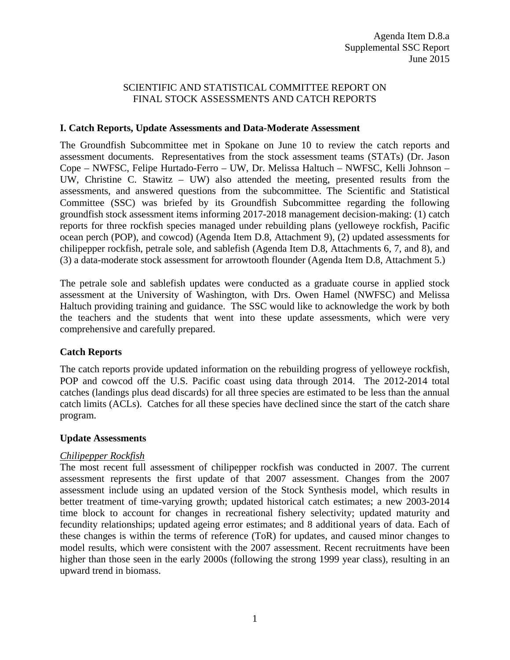## SCIENTIFIC AND STATISTICAL COMMITTEE REPORT ON FINAL STOCK ASSESSMENTS AND CATCH REPORTS

### **I. Catch Reports, Update Assessments and Data-Moderate Assessment**

The Groundfish Subcommittee met in Spokane on June 10 to review the catch reports and assessment documents. Representatives from the stock assessment teams (STATs) (Dr. Jason Cope – NWFSC, Felipe Hurtado-Ferro – UW, Dr. Melissa Haltuch – NWFSC, Kelli Johnson – UW, Christine C. Stawitz – UW) also attended the meeting, presented results from the assessments, and answered questions from the subcommittee. The Scientific and Statistical Committee (SSC) was briefed by its Groundfish Subcommittee regarding the following groundfish stock assessment items informing 2017-2018 management decision-making: (1) catch reports for three rockfish species managed under rebuilding plans (yelloweye rockfish, Pacific ocean perch (POP), and cowcod) (Agenda Item D.8, Attachment 9), (2) updated assessments for chilipepper rockfish, petrale sole, and sablefish (Agenda Item D.8, Attachments 6, 7, and 8), and (3) a data-moderate stock assessment for arrowtooth flounder (Agenda Item D.8, Attachment 5.)

The petrale sole and sablefish updates were conducted as a graduate course in applied stock assessment at the University of Washington, with Drs. Owen Hamel (NWFSC) and Melissa Haltuch providing training and guidance. The SSC would like to acknowledge the work by both the teachers and the students that went into these update assessments, which were very comprehensive and carefully prepared.

### **Catch Reports**

The catch reports provide updated information on the rebuilding progress of yelloweye rockfish, POP and cowcod off the U.S. Pacific coast using data through 2014. The 2012-2014 total catches (landings plus dead discards) for all three species are estimated to be less than the annual catch limits (ACLs). Catches for all these species have declined since the start of the catch share program.

### **Update Assessments**

### *Chilipepper Rockfish*

The most recent full assessment of chilipepper rockfish was conducted in 2007. The current assessment represents the first update of that 2007 assessment. Changes from the 2007 assessment include using an updated version of the Stock Synthesis model, which results in better treatment of time-varying growth; updated historical catch estimates; a new 2003-2014 time block to account for changes in recreational fishery selectivity; updated maturity and fecundity relationships; updated ageing error estimates; and 8 additional years of data. Each of these changes is within the terms of reference (ToR) for updates, and caused minor changes to model results, which were consistent with the 2007 assessment. Recent recruitments have been higher than those seen in the early 2000s (following the strong 1999 year class), resulting in an upward trend in biomass.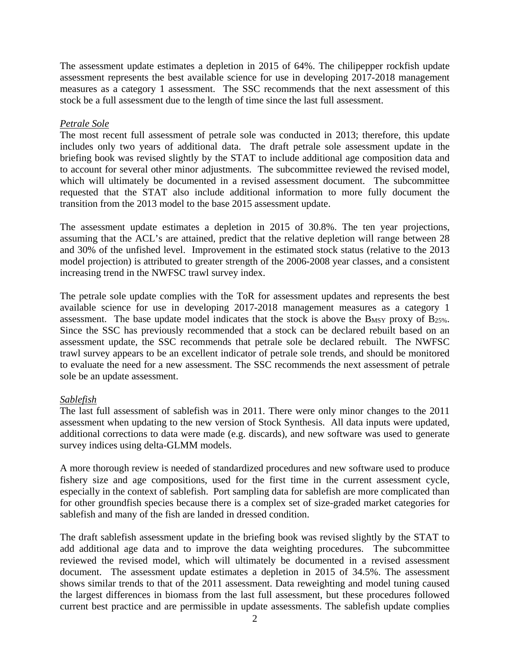The assessment update estimates a depletion in 2015 of 64%. The chilipepper rockfish update assessment represents the best available science for use in developing 2017-2018 management measures as a category 1 assessment. The SSC recommends that the next assessment of this stock be a full assessment due to the length of time since the last full assessment.

## *Petrale Sole*

The most recent full assessment of petrale sole was conducted in 2013; therefore, this update includes only two years of additional data. The draft petrale sole assessment update in the briefing book was revised slightly by the STAT to include additional age composition data and to account for several other minor adjustments. The subcommittee reviewed the revised model, which will ultimately be documented in a revised assessment document. The subcommittee requested that the STAT also include additional information to more fully document the transition from the 2013 model to the base 2015 assessment update.

The assessment update estimates a depletion in 2015 of 30.8%. The ten year projections, assuming that the ACL's are attained, predict that the relative depletion will range between 28 and 30% of the unfished level. Improvement in the estimated stock status (relative to the 2013 model projection) is attributed to greater strength of the 2006-2008 year classes, and a consistent increasing trend in the NWFSC trawl survey index.

The petrale sole update complies with the ToR for assessment updates and represents the best available science for use in developing 2017-2018 management measures as a category 1 assessment. The base update model indicates that the stock is above the BMSY proxy of B25%. Since the SSC has previously recommended that a stock can be declared rebuilt based on an assessment update, the SSC recommends that petrale sole be declared rebuilt. The NWFSC trawl survey appears to be an excellent indicator of petrale sole trends, and should be monitored to evaluate the need for a new assessment. The SSC recommends the next assessment of petrale sole be an update assessment.

# *Sablefish*

The last full assessment of sablefish was in 2011. There were only minor changes to the 2011 assessment when updating to the new version of Stock Synthesis. All data inputs were updated, additional corrections to data were made (e.g. discards), and new software was used to generate survey indices using delta-GLMM models.

A more thorough review is needed of standardized procedures and new software used to produce fishery size and age compositions, used for the first time in the current assessment cycle, especially in the context of sablefish. Port sampling data for sablefish are more complicated than for other groundfish species because there is a complex set of size-graded market categories for sablefish and many of the fish are landed in dressed condition.

The draft sablefish assessment update in the briefing book was revised slightly by the STAT to add additional age data and to improve the data weighting procedures. The subcommittee reviewed the revised model, which will ultimately be documented in a revised assessment document. The assessment update estimates a depletion in 2015 of 34.5%. The assessment shows similar trends to that of the 2011 assessment. Data reweighting and model tuning caused the largest differences in biomass from the last full assessment, but these procedures followed current best practice and are permissible in update assessments. The sablefish update complies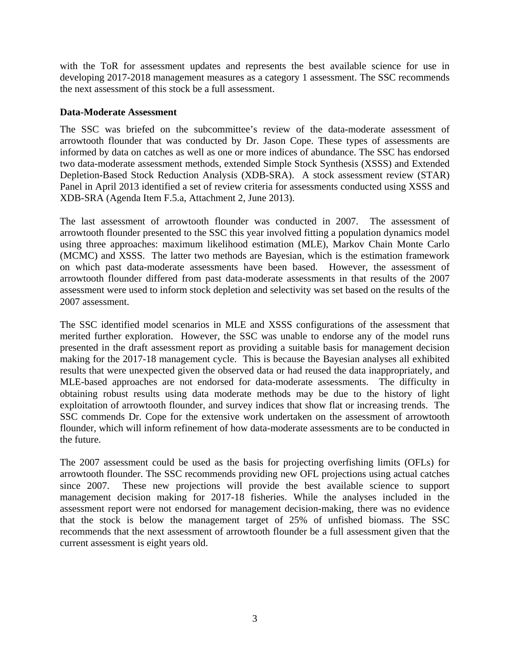with the ToR for assessment updates and represents the best available science for use in developing 2017-2018 management measures as a category 1 assessment. The SSC recommends the next assessment of this stock be a full assessment.

### **Data-Moderate Assessment**

The SSC was briefed on the subcommittee's review of the data-moderate assessment of arrowtooth flounder that was conducted by Dr. Jason Cope. These types of assessments are informed by data on catches as well as one or more indices of abundance. The SSC has endorsed two data-moderate assessment methods, extended Simple Stock Synthesis (XSSS) and Extended Depletion-Based Stock Reduction Analysis (XDB-SRA). A stock assessment review (STAR) Panel in April 2013 identified a set of review criteria for assessments conducted using XSSS and XDB-SRA (Agenda Item F.5.a, Attachment 2, June 2013).

The last assessment of arrowtooth flounder was conducted in 2007. The assessment of arrowtooth flounder presented to the SSC this year involved fitting a population dynamics model using three approaches: maximum likelihood estimation (MLE), Markov Chain Monte Carlo (MCMC) and XSSS. The latter two methods are Bayesian, which is the estimation framework on which past data-moderate assessments have been based. However, the assessment of arrowtooth flounder differed from past data-moderate assessments in that results of the 2007 assessment were used to inform stock depletion and selectivity was set based on the results of the 2007 assessment.

The SSC identified model scenarios in MLE and XSSS configurations of the assessment that merited further exploration. However, the SSC was unable to endorse any of the model runs presented in the draft assessment report as providing a suitable basis for management decision making for the 2017-18 management cycle. This is because the Bayesian analyses all exhibited results that were unexpected given the observed data or had reused the data inappropriately, and MLE-based approaches are not endorsed for data-moderate assessments. The difficulty in obtaining robust results using data moderate methods may be due to the history of light exploitation of arrowtooth flounder, and survey indices that show flat or increasing trends. The SSC commends Dr. Cope for the extensive work undertaken on the assessment of arrowtooth flounder, which will inform refinement of how data-moderate assessments are to be conducted in the future.

The 2007 assessment could be used as the basis for projecting overfishing limits (OFLs) for arrowtooth flounder. The SSC recommends providing new OFL projections using actual catches since 2007. These new projections will provide the best available science to support management decision making for 2017-18 fisheries. While the analyses included in the assessment report were not endorsed for management decision-making, there was no evidence that the stock is below the management target of 25% of unfished biomass. The SSC recommends that the next assessment of arrowtooth flounder be a full assessment given that the current assessment is eight years old.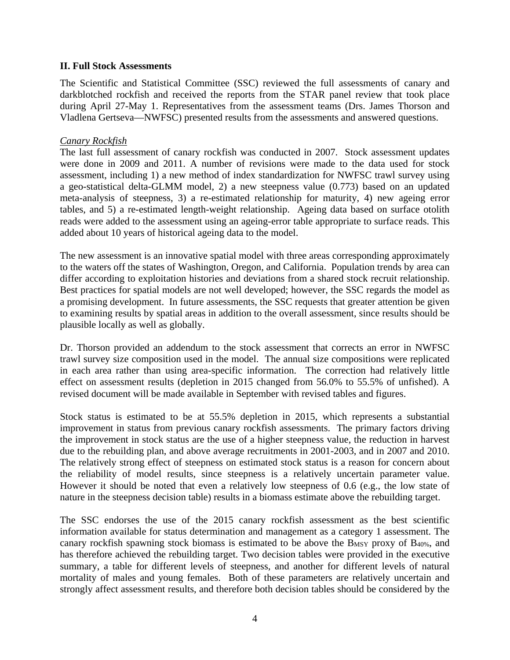### **II. Full Stock Assessments**

The Scientific and Statistical Committee (SSC) reviewed the full assessments of canary and darkblotched rockfish and received the reports from the STAR panel review that took place during April 27-May 1. Representatives from the assessment teams (Drs. James Thorson and Vladlena Gertseva—NWFSC) presented results from the assessments and answered questions.

#### *Canary Rockfish*

The last full assessment of canary rockfish was conducted in 2007. Stock assessment updates were done in 2009 and 2011. A number of revisions were made to the data used for stock assessment, including 1) a new method of index standardization for NWFSC trawl survey using a geo-statistical delta-GLMM model, 2) a new steepness value (0.773) based on an updated meta-analysis of steepness, 3) a re-estimated relationship for maturity, 4) new ageing error tables, and 5) a re-estimated length-weight relationship. Ageing data based on surface otolith reads were added to the assessment using an ageing-error table appropriate to surface reads. This added about 10 years of historical ageing data to the model.

The new assessment is an innovative spatial model with three areas corresponding approximately to the waters off the states of Washington, Oregon, and California. Population trends by area can differ according to exploitation histories and deviations from a shared stock recruit relationship. Best practices for spatial models are not well developed; however, the SSC regards the model as a promising development. In future assessments, the SSC requests that greater attention be given to examining results by spatial areas in addition to the overall assessment, since results should be plausible locally as well as globally.

Dr. Thorson provided an addendum to the stock assessment that corrects an error in NWFSC trawl survey size composition used in the model. The annual size compositions were replicated in each area rather than using area-specific information. The correction had relatively little effect on assessment results (depletion in 2015 changed from 56.0% to 55.5% of unfished). A revised document will be made available in September with revised tables and figures.

Stock status is estimated to be at 55.5% depletion in 2015, which represents a substantial improvement in status from previous canary rockfish assessments. The primary factors driving the improvement in stock status are the use of a higher steepness value, the reduction in harvest due to the rebuilding plan, and above average recruitments in 2001-2003, and in 2007 and 2010. The relatively strong effect of steepness on estimated stock status is a reason for concern about the reliability of model results, since steepness is a relatively uncertain parameter value. However it should be noted that even a relatively low steepness of 0.6 (e.g., the low state of nature in the steepness decision table) results in a biomass estimate above the rebuilding target.

The SSC endorses the use of the 2015 canary rockfish assessment as the best scientific information available for status determination and management as a category 1 assessment. The canary rockfish spawning stock biomass is estimated to be above the  $B_{MSY}$  proxy of  $B_{40\%}$ , and has therefore achieved the rebuilding target. Two decision tables were provided in the executive summary, a table for different levels of steepness, and another for different levels of natural mortality of males and young females. Both of these parameters are relatively uncertain and strongly affect assessment results, and therefore both decision tables should be considered by the